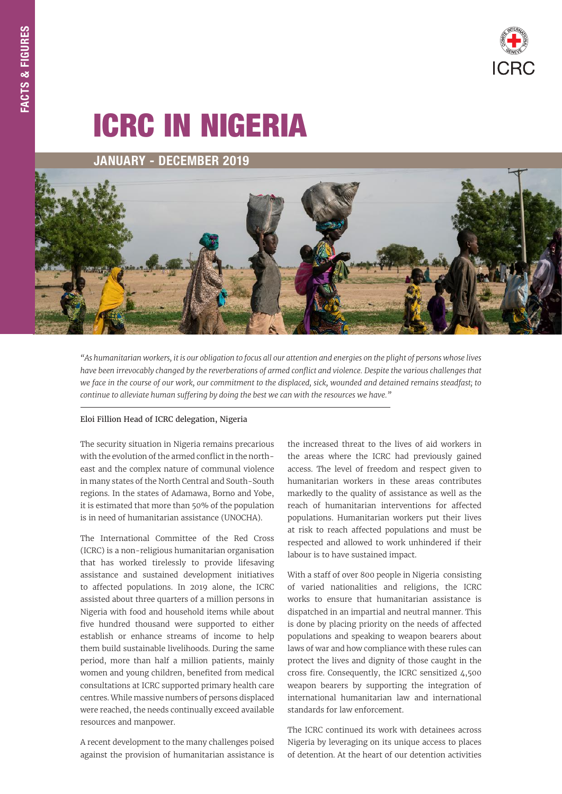# ICRC IN NIGERIA

# JANUARY - DECEMBER 2019



*"As humanitarian workers, it is our obligation to focus all our attention and energies on the plight of persons whose lives*  have been irrevocably changed by the reverberations of armed conflict and violence. Despite the various challenges that *we face in the course of our work, our commitment to the displaced, sick, wounded and detained remains steadfast; to continue to alleviate human suffering by doing the best we can with the resources we have."*

#### Eloi Fillion Head of ICRC delegation, Nigeria

The security situation in Nigeria remains precarious with the evolution of the armed conflict in the northeast and the complex nature of communal violence in many states of the North Central and South-South regions. In the states of Adamawa, Borno and Yobe, it is estimated that more than 50% of the population is in need of humanitarian assistance (UNOCHA).

The International Committee of the Red Cross (ICRC) is a non-religious humanitarian organisation that has worked tirelessly to provide lifesaving assistance and sustained development initiatives to affected populations. In 2019 alone, the ICRC assisted about three quarters of a million persons in Nigeria with food and household items while about five hundred thousand were supported to either establish or enhance streams of income to help them build sustainable livelihoods. During the same period, more than half a million patients, mainly women and young children, benefited from medical consultations at ICRC supported primary health care centres. While massive numbers of persons displaced were reached, the needs continually exceed available resources and manpower.

A recent development to the many challenges poised against the provision of humanitarian assistance is

the increased threat to the lives of aid workers in the areas where the ICRC had previously gained access. The level of freedom and respect given to humanitarian workers in these areas contributes markedly to the quality of assistance as well as the reach of humanitarian interventions for affected populations. Humanitarian workers put their lives at risk to reach affected populations and must be respected and allowed to work unhindered if their labour is to have sustained impact.

With a staff of over 800 people in Nigeria consisting of varied nationalities and religions, the ICRC works to ensure that humanitarian assistance is dispatched in an impartial and neutral manner. This is done by placing priority on the needs of affected populations and speaking to weapon bearers about laws of war and how compliance with these rules can protect the lives and dignity of those caught in the cross fire. Consequently, the ICRC sensitized 4,500 weapon bearers by supporting the integration of international humanitarian law and international standards for law enforcement.

The ICRC continued its work with detainees across Nigeria by leveraging on its unique access to places of detention. At the heart of our detention activities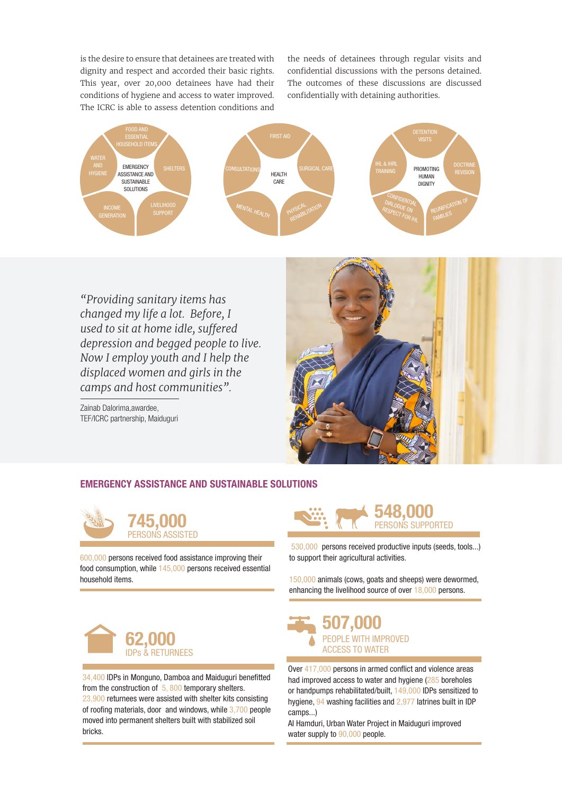is the desire to ensure that detainees are treated with dignity and respect and accorded their basic rights. This year, over 20,000 detainees have had their conditions of hygiene and access to water improved. The ICRC is able to assess detention conditions and

the needs of detainees through regular visits and confidential discussions with the persons detained. The outcomes of these discussions are discussed confidentially with detaining authorities.



*"Providing sanitary items has changed my life a lot. Before, I used to sit at home idle, suffered depression and begged people to live. Now I employ youth and I help the displaced women and girls in the camps and host communities".*

Zainab Dalorima,awardee, TEF/ICRC partnership, Maiduguri



## EMERGENCY ASSISTANCE AND SUSTAINABLE SOLUTIONS



600,000 persons received food assistance improving their food consumption, while 145,000 persons received essential household items.



34,400 IDPs in Monguno, Damboa and Maiduguri benefitted from the construction of 5, 800 temporary shelters. 23,900 returnees were assisted with shelter kits consisting of roofing materials, door and windows, while 3,700 people moved into permanent shelters built with stabilized soil bricks.



530,000 persons received productive inputs (seeds, tools...) to support their agricultural activities.

150,000 animals (cows, goats and sheeps) were dewormed, enhancing the livelihood source of over 18,000 persons.



Over 417,000 persons in armed conflict and violence areas had improved access to water and hygiene (285 boreholes or handpumps rehabilitated/built, 149,000 IDPs sensitized to hygiene, 94 washing facilities and 2,977 latrines built in IDP camps...)

AI Hamduri, Urban Water Project in Maiduguri improved water supply to 90,000 people.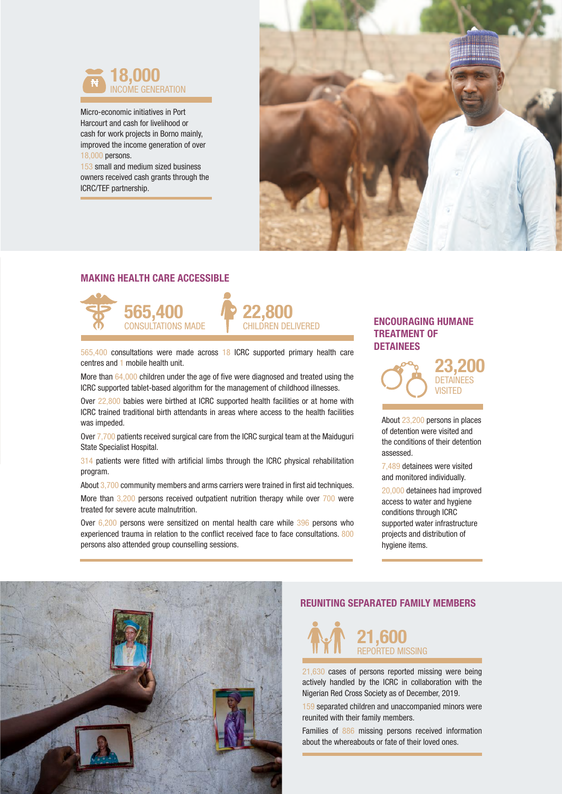

Micro-economic initiatives in Port Harcourt and cash for livelihood or cash for work projects in Borno mainly, improved the income generation of over 18,000 persons.

153 small and medium sized business owners received cash grants through the ICRC/TEF partnership.



## MAKING HEALTH CARE ACCESSIBLE



DETAINEES 565,400 consultations were made across 18 ICRC supported primary health care centres and 1 mobile health unit.

More than 64,000 children under the age of five were diagnosed and treated using the ICRC supported tablet-based algorithm for the management of childhood illnesses.

Over 22,800 babies were birthed at ICRC supported health facilities or at home with ICRC trained traditional birth attendants in areas where access to the health facilities was impeded.

Over 7,700 patients received surgical care from the ICRC surgical team at the Maiduguri State Specialist Hospital.

314 patients were fitted with artificial limbs through the ICRC physical rehabilitation program.

About 3,700 community members and arms carriers were trained in first aid techniques. More than 3,200 persons received outpatient nutrition therapy while over 700 were treated for severe acute malnutrition.

Over 6,200 persons were sensitized on mental health care while 396 persons who experienced trauma in relation to the conflict received face to face consultations. 800 persons also attended group counselling sessions.

# ENCOURAGING HUMANE TREATMENT OF



About 23,200 persons in places of detention were visited and the conditions of their detention assessed.

7,489 detainees were visited and monitored individually.

20,000 detainees had improved access to water and hygiene conditions through ICRC supported water infrastructure projects and distribution of hygiene items.



### REUNITING SEPARATED FAMILY MEMBERS



21,630 cases of persons reported missing were being actively handled by the ICRC in collaboration with the Nigerian Red Cross Society as of December, 2019.

159 separated children and unaccompanied minors were reunited with their family members.

Families of 886 missing persons received information about the whereabouts or fate of their loved ones.